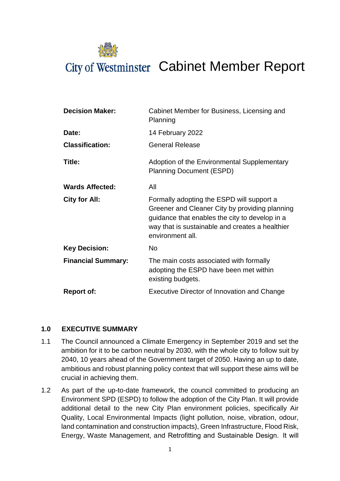

# City of Westminster Cabinet Member Report

| <b>Decision Maker:</b>    | Cabinet Member for Business, Licensing and<br>Planning                                                                                                                                                               |  |
|---------------------------|----------------------------------------------------------------------------------------------------------------------------------------------------------------------------------------------------------------------|--|
| Date:                     | 14 February 2022                                                                                                                                                                                                     |  |
| <b>Classification:</b>    | <b>General Release</b>                                                                                                                                                                                               |  |
| Title:                    | Adoption of the Environmental Supplementary<br><b>Planning Document (ESPD)</b>                                                                                                                                       |  |
| <b>Wards Affected:</b>    | All                                                                                                                                                                                                                  |  |
| <b>City for All:</b>      | Formally adopting the ESPD will support a<br>Greener and Cleaner City by providing planning<br>guidance that enables the city to develop in a<br>way that is sustainable and creates a healthier<br>environment all. |  |
| <b>Key Decision:</b>      | <b>No</b>                                                                                                                                                                                                            |  |
| <b>Financial Summary:</b> | The main costs associated with formally<br>adopting the ESPD have been met within<br>existing budgets.                                                                                                               |  |
| <b>Report of:</b>         | <b>Executive Director of Innovation and Change</b>                                                                                                                                                                   |  |

## **1.0 EXECUTIVE SUMMARY**

- 1.1 The Council announced a Climate Emergency in September 2019 and set the ambition for it to be carbon neutral by 2030, with the whole city to follow suit by 2040, 10 years ahead of the Government target of 2050. Having an up to date, ambitious and robust planning policy context that will support these aims will be crucial in achieving them.
- 1.2 As part of the up-to-date framework, the council committed to producing an Environment SPD (ESPD) to follow the adoption of the City Plan. It will provide additional detail to the new City Plan environment policies, specifically Air Quality, Local Environmental Impacts (light pollution, noise, vibration, odour, land contamination and construction impacts), Green Infrastructure, Flood Risk, Energy, Waste Management, and Retrofitting and Sustainable Design.  It will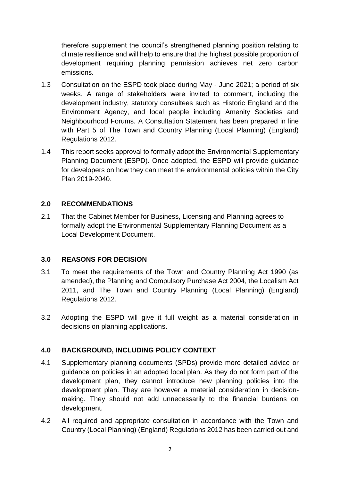therefore supplement the council's strengthened planning position relating to climate resilience and will help to ensure that the highest possible proportion of development requiring planning permission achieves net zero carbon emissions.

- 1.3 Consultation on the ESPD took place during May June 2021; a period of six weeks. A range of stakeholders were invited to comment, including the development industry, statutory consultees such as Historic England and the Environment Agency, and local people including Amenity Societies and Neighbourhood Forums. A Consultation Statement has been prepared in line with Part 5 of The Town and Country Planning (Local Planning) (England) Regulations 2012.
- 1.4 This report seeks approval to formally adopt the Environmental Supplementary Planning Document (ESPD). Once adopted, the ESPD will provide guidance for developers on how they can meet the environmental policies within the City Plan 2019-2040.

## **2.0 RECOMMENDATIONS**

2.1 That the Cabinet Member for Business, Licensing and Planning agrees to formally adopt the Environmental Supplementary Planning Document as a Local Development Document.

#### **3.0 REASONS FOR DECISION**

- 3.1 To meet the requirements of the Town and Country Planning Act 1990 (as amended), the Planning and Compulsory Purchase Act 2004, the Localism Act 2011, and The Town and Country Planning (Local Planning) (England) Regulations 2012.
- 3.2 Adopting the ESPD will give it full weight as a material consideration in decisions on planning applications.

## **4.0 BACKGROUND, INCLUDING POLICY CONTEXT**

- 4.1 Supplementary planning documents (SPDs) provide more detailed advice or guidance on policies in an adopted local plan. As they do not form part of the development plan, they cannot introduce new planning policies into the development plan. They are however a material consideration in decisionmaking. They should not add unnecessarily to the financial burdens on development.
- 4.2 All required and appropriate consultation in accordance with the Town and Country (Local Planning) (England) Regulations 2012 has been carried out and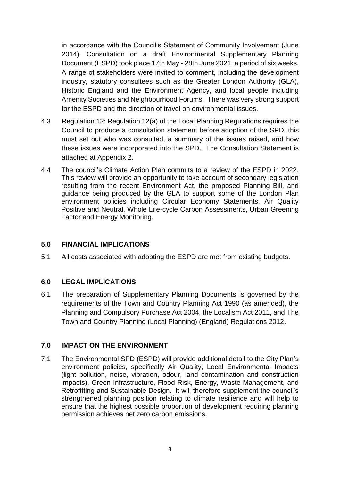in accordance with the Council's Statement of Community Involvement (June 2014). Consultation on a draft Environmental Supplementary Planning Document (ESPD) took place 17th May - 28th June 2021; a period of six weeks. A range of stakeholders were invited to comment, including the development industry, statutory consultees such as the Greater London Authority (GLA), Historic England and the Environment Agency, and local people including Amenity Societies and Neighbourhood Forums. There was very strong support for the ESPD and the direction of travel on environmental issues.

- 4.3 Regulation 12: Regulation 12(a) of the Local Planning Regulations requires the Council to produce a consultation statement before adoption of the SPD, this must set out who was consulted, a summary of the issues raised, and how these issues were incorporated into the SPD. The Consultation Statement is attached at Appendix 2.
- 4.4 The council's Climate Action Plan commits to a review of the ESPD in 2022. This review will provide an opportunity to take account of secondary legislation resulting from the recent Environment Act, the proposed Planning Bill, and guidance being produced by the GLA to support some of the London Plan environment policies including Circular Economy Statements, Air Quality Positive and Neutral, Whole Life-cycle Carbon Assessments, Urban Greening Factor and Energy Monitoring.

## **5.0 FINANCIAL IMPLICATIONS**

5.1 All costs associated with adopting the ESPD are met from existing budgets.

#### **6.0 LEGAL IMPLICATIONS**

6.1 The preparation of Supplementary Planning Documents is governed by the requirements of the Town and Country Planning Act 1990 (as amended), the Planning and Compulsory Purchase Act 2004, the Localism Act 2011, and The Town and Country Planning (Local Planning) (England) Regulations 2012.

#### **7.0 IMPACT ON THE ENVIRONMENT**

7.1 The Environmental SPD (ESPD) will provide additional detail to the City Plan's environment policies, specifically Air Quality, Local Environmental Impacts (light pollution, noise, vibration, odour, land contamination and construction impacts), Green Infrastructure, Flood Risk, Energy, Waste Management, and Retrofitting and Sustainable Design.  It will therefore supplement the council's strengthened planning position relating to climate resilience and will help to ensure that the highest possible proportion of development requiring planning permission achieves net zero carbon emissions.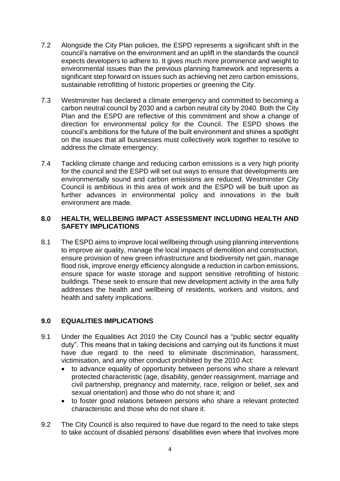- 7.2 Alongside the City Plan policies, the ESPD represents a significant shift in the council's narrative on the environment and an uplift in the standards the council expects developers to adhere to. It gives much more prominence and weight to environmental issues than the previous planning framework and represents a significant step forward on issues such as achieving net zero carbon emissions, sustainable retrofitting of historic properties or greening the City.
- 7.3 Westminster has declared a climate emergency and committed to becoming a carbon neutral council by 2030 and a carbon neutral city by 2040. Both the City Plan and the ESPD are reflective of this commitment and show a change of direction for environmental policy for the Council. The ESPD shows the council's ambitions for the future of the built environment and shines a spotlight on the issues that all businesses must collectively work together to resolve to address the climate emergency.
- 7.4 Tackling climate change and reducing carbon emissions is a very high priority for the council and the ESPD will set out ways to ensure that developments are environmentally sound and carbon emissions are reduced. Westminster City Council is ambitious in this area of work and the ESPD will be built upon as further advances in environmental policy and innovations in the built environment are made.

### **8.0 HEALTH, WELLBEING IMPACT ASSESSMENT INCLUDING HEALTH AND SAFETY IMPLICATIONS**

8.1 The ESPD aims to improve local wellbeing through using planning interventions to improve air quality, manage the local impacts of demolition and construction, ensure provision of new green infrastructure and biodiversity net gain, manage flood risk, improve energy efficiency alongside a reduction in carbon emissions, ensure space for waste storage and support sensitive retrofitting of historic buildings. These seek to ensure that new development activity in the area fully addresses the health and wellbeing of residents, workers and visitors, and health and safety implications.

## **9.0 EQUALITIES IMPLICATIONS**

- 9.1 Under the Equalities Act 2010 the City Council has a "public sector equality duty". This means that in taking decisions and carrying out its functions it must have due regard to the need to eliminate discrimination, harassment, victimisation, and any other conduct prohibited by the 2010 Act:
	- to advance equality of opportunity between persons who share a relevant protected characteristic (age, disability, gender reassignment, marriage and civil partnership, pregnancy and maternity, race, religion or belief, sex and sexual orientation) and those who do not share it; and
	- to foster good relations between persons who share a relevant protected characteristic and those who do not share it.
- 9.2 The City Council is also required to have due regard to the need to take steps to take account of disabled persons' disabilities even where that involves more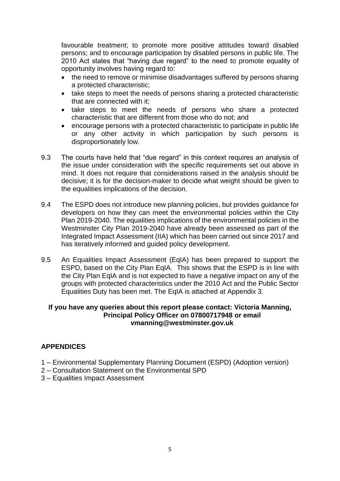favourable treatment; to promote more positive attitudes toward disabled persons; and to encourage participation by disabled persons in public life. The 2010 Act states that "having due regard" to the need to promote equality of opportunity involves having regard to:

- the need to remove or minimise disadvantages suffered by persons sharing a protected characteristic;
- take steps to meet the needs of persons sharing a protected characteristic that are connected with it;
- take steps to meet the needs of persons who share a protected characteristic that are different from those who do not; and
- encourage persons with a protected characteristic to participate in public life or any other activity in which participation by such persons is disproportionately low.
- 9.3 The courts have held that "due regard" in this context requires an analysis of the issue under consideration with the specific requirements set out above in mind. It does not require that considerations raised in the analysis should be decisive; it is for the decision-maker to decide what weight should be given to the equalities implications of the decision.
- 9.4 The ESPD does not introduce new planning policies, but provides guidance for developers on how they can meet the environmental policies within the City Plan 2019-2040. The equalities implications of the environmental policies in the Westminster City Plan 2019-2040 have already been assessed as part of the Integrated Impact Assessment (IIA) which has been carried out since 2017 and has iteratively informed and guided policy development.
- 9.5 An Equalities Impact Assessment (EqIA) has been prepared to support the ESPD, based on the City Plan EqIA. This shows that the ESPD is in line with the City Plan EqIA and is not expected to have a negative impact on any of the groups with protected characteristics under the 2010 Act and the Public Sector Equalities Duty has been met. The EqIA is attached at Appendix 3.

#### **If you have any queries about this report please contact: Victoria Manning, Principal Policy Officer on 07800717948 or email vmanning@westminster.gov.uk**

## **APPENDICES**

- 1 Environmental Supplementary Planning Document (ESPD) (Adoption version)
- 2 Consultation Statement on the Environmental SPD
- 3 Equalities Impact Assessment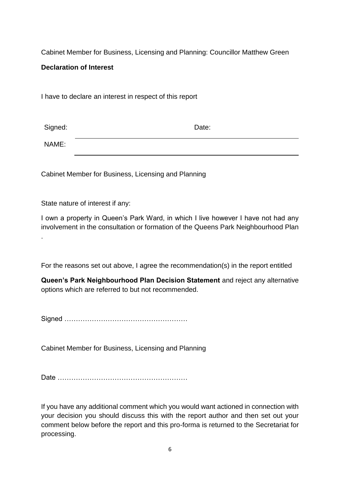Cabinet Member for Business, Licensing and Planning: Councillor Matthew Green

## **Declaration of Interest**

I have to declare an interest in respect of this report

| Signed: | Date: |
|---------|-------|
| NAME:   |       |

Cabinet Member for Business, Licensing and Planning

State nature of interest if any:

I own a property in Queen's Park Ward, in which I live however I have not had any involvement in the consultation or formation of the Queens Park Neighbourhood Plan .

For the reasons set out above, I agree the recommendation(s) in the report entitled

**Queen's Park Neighbourhood Plan Decision Statement** and reject any alternative options which are referred to but not recommended.

Signed ………………………………………………

Cabinet Member for Business, Licensing and Planning

Date …………………………………………………

If you have any additional comment which you would want actioned in connection with your decision you should discuss this with the report author and then set out your comment below before the report and this pro-forma is returned to the Secretariat for processing.